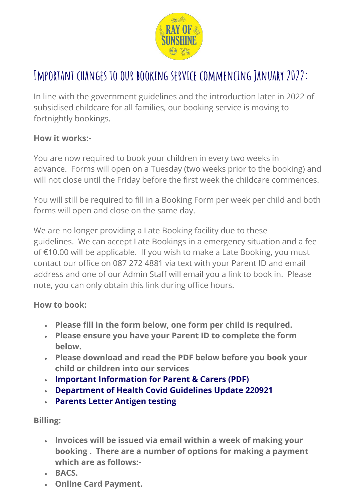

# **Important changes to our booking service commencing January 2022:**

In line with the government guidelines and the introduction later in 2022 of subsidised childcare for all families, our booking service is moving to fortnightly bookings.

### **How it works:-**

You are now required to book your children in every two weeks in advance. Forms will open on a Tuesday (two weeks prior to the booking) and will not close until the Friday before the first week the childcare commences.

You will still be required to fill in a Booking Form per week per child and both forms will open and close on the same day.

We are no longer providing a Late Booking facility due to these guidelines. We can accept Late Bookings in a emergency situation and a fee of €10.00 will be applicable. If you wish to make a Late Booking, you must contact our office on 087 272 4881 via text with your Parent ID and email address and one of our Admin Staff will email you a link to book in. Please note, you can only obtain this link during office hours.

### **How to book:**

- **Please fill in the form below, one form per child is required.**
- **Please ensure you have your Parent ID to complete the form below.**
- **Please download and read the PDF below before you book your child or children into our services**
- **[Important Information for Parent & Carers \(PDF\)](https://www.roskids.ie/wp-content/uploads/2021/09/Important-Information-as-a-Parent.pdf)**
- **[Department of Health Covid Guidelines Update 220921](https://www.roskids.ie/wp-content/uploads/2021/09/Department-of-Health-Covid-Guidelines-Update-220921.pdf)**
- **[Parents Letter Antigen testing](https://www.roskids.ie/wp-content/uploads/2021/12/Parents-Letter-Antigen-testing.pdf)**

### **Billing:**

- **Invoices will be issued via email within a week of making your booking . There are a number of options for making a payment which are as follows:-**
- **BACS.**
- **Online Card Payment.**